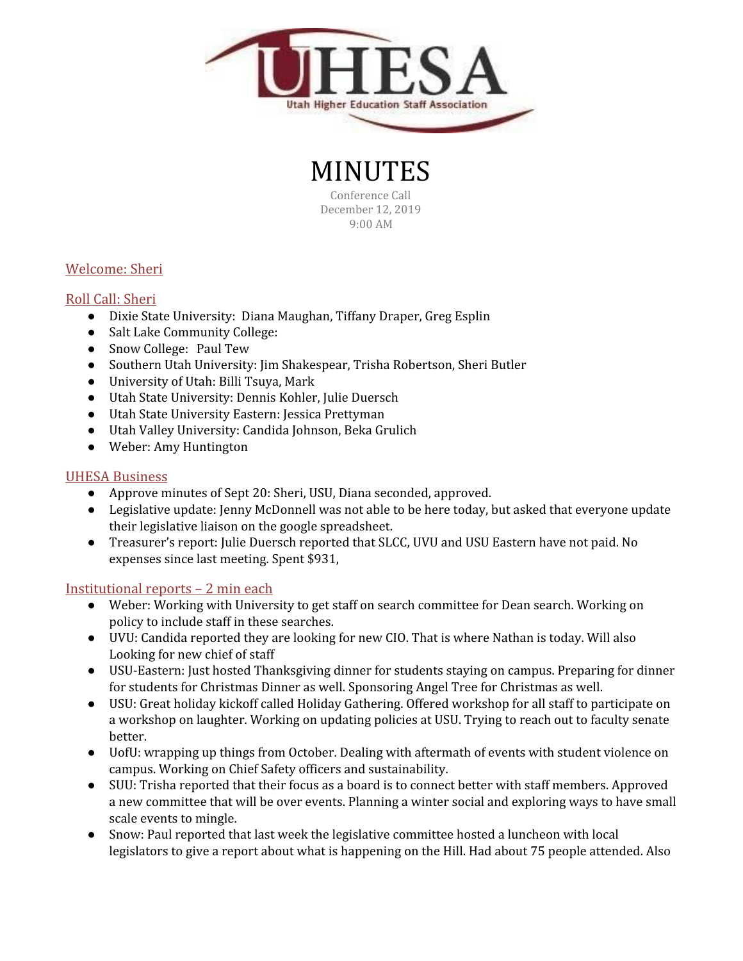

# MINUTES

Conference Call December 12, 2019 9:00 AM

# Welcome: Sheri

## Roll Call: Sheri

- Dixie State University: Diana Maughan, Tiffany Draper, Greg Esplin
- Salt Lake Community College:
- Snow College: Paul Tew
- Southern Utah University: Jim Shakespear, Trisha Robertson, Sheri Butler
- University of Utah: Billi Tsuya, Mark
- Utah State University: Dennis Kohler, Julie Duersch
- Utah State University Eastern: Jessica Prettyman
- Utah Valley University: Candida Johnson, Beka Grulich
- Weber: Amy Huntington

### UHESA Business

- Approve minutes of Sept 20: Sheri, USU, Diana seconded, approved.
- Legislative update: Jenny McDonnell was not able to be here today, but asked that everyone update their legislative liaison on the google spreadsheet.
- Treasurer's report: Julie Duersch reported that SLCC, UVU and USU Eastern have not paid. No expenses since last meeting. Spent \$931,

#### Institutional reports – 2 min each

- Weber: Working with University to get staff on search committee for Dean search. Working on policy to include staff in these searches.
- UVU: Candida reported they are looking for new CIO. That is where Nathan is today. Will also Looking for new chief of staff
- USU-Eastern: Just hosted Thanksgiving dinner for students staying on campus. Preparing for dinner for students for Christmas Dinner as well. Sponsoring Angel Tree for Christmas as well.
- USU: Great holiday kickoff called Holiday Gathering. Offered workshop for all staff to participate on a workshop on laughter. Working on updating policies at USU. Trying to reach out to faculty senate better.
- UofU: wrapping up things from October. Dealing with aftermath of events with student violence on campus. Working on Chief Safety officers and sustainability.
- SUU: Trisha reported that their focus as a board is to connect better with staff members. Approved a new committee that will be over events. Planning a winter social and exploring ways to have small scale events to mingle.
- Snow: Paul reported that last week the legislative committee hosted a luncheon with local legislators to give a report about what is happening on the Hill. Had about 75 people attended. Also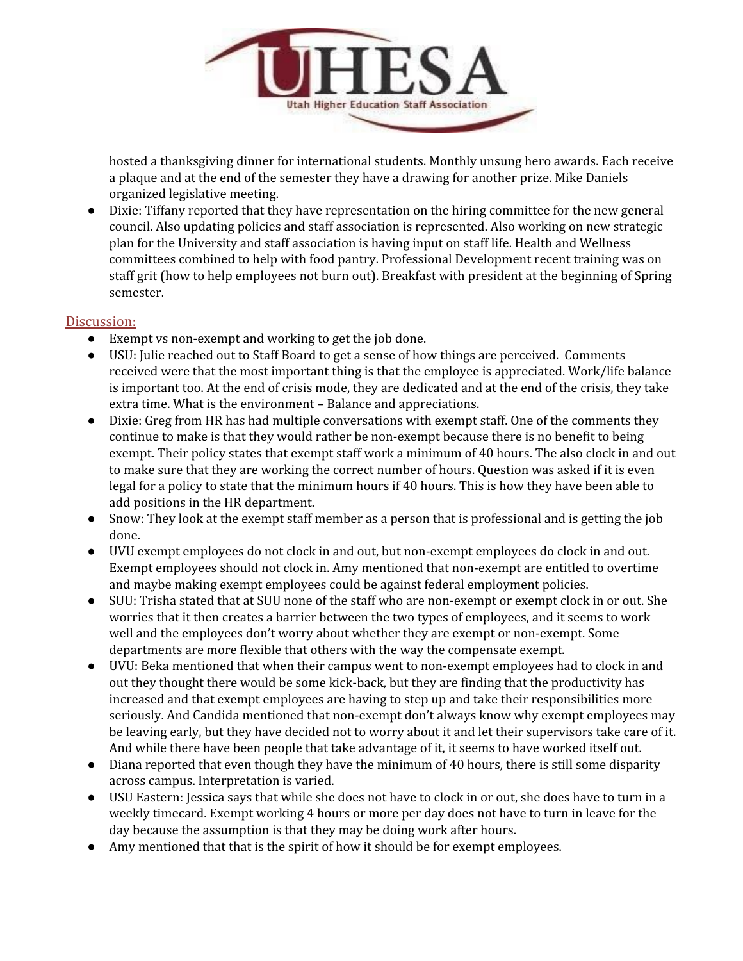

hosted a thanksgiving dinner for international students. Monthly unsung hero awards. Each receive a plaque and at the end of the semester they have a drawing for another prize. Mike Daniels organized legislative meeting.

● Dixie: Tiffany reported that they have representation on the hiring committee for the new general council. Also updating policies and staff association is represented. Also working on new strategic plan for the University and staff association is having input on staff life. Health and Wellness committees combined to help with food pantry. Professional Development recent training was on staff grit (how to help employees not burn out). Breakfast with president at the beginning of Spring semester.

#### Discussion:

- Exempt vs non-exempt and working to get the job done.
- USU: Julie reached out to Staff Board to get a sense of how things are perceived. Comments received were that the most important thing is that the employee is appreciated. Work/life balance is important too. At the end of crisis mode, they are dedicated and at the end of the crisis, they take extra time. What is the environment – Balance and appreciations.
- Dixie: Greg from HR has had multiple conversations with exempt staff. One of the comments they continue to make is that they would rather be non-exempt because there is no benefit to being exempt. Their policy states that exempt staff work a minimum of 40 hours. The also clock in and out to make sure that they are working the correct number of hours. Question was asked if it is even legal for a policy to state that the minimum hours if 40 hours. This is how they have been able to add positions in the HR department.
- Snow: They look at the exempt staff member as a person that is professional and is getting the job done.
- UVU exempt employees do not clock in and out, but non-exempt employees do clock in and out. Exempt employees should not clock in. Amy mentioned that non-exempt are entitled to overtime and maybe making exempt employees could be against federal employment policies.
- SUU: Trisha stated that at SUU none of the staff who are non-exempt or exempt clock in or out. She worries that it then creates a barrier between the two types of employees, and it seems to work well and the employees don't worry about whether they are exempt or non-exempt. Some departments are more flexible that others with the way the compensate exempt.
- UVU: Beka mentioned that when their campus went to non-exempt employees had to clock in and out they thought there would be some kick-back, but they are finding that the productivity has increased and that exempt employees are having to step up and take their responsibilities more seriously. And Candida mentioned that non-exempt don't always know why exempt employees may be leaving early, but they have decided not to worry about it and let their supervisors take care of it. And while there have been people that take advantage of it, it seems to have worked itself out.
- Diana reported that even though they have the minimum of 40 hours, there is still some disparity across campus. Interpretation is varied.
- USU Eastern: Jessica says that while she does not have to clock in or out, she does have to turn in a weekly timecard. Exempt working 4 hours or more per day does not have to turn in leave for the day because the assumption is that they may be doing work after hours.
- Amy mentioned that that is the spirit of how it should be for exempt employees.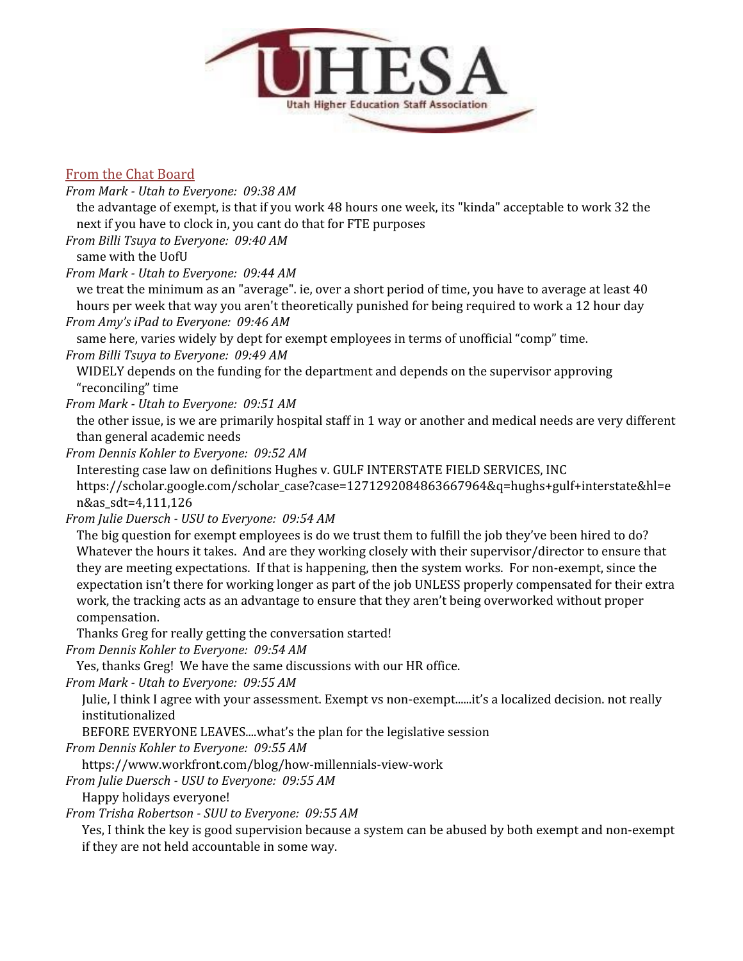

# From the Chat Board

*From Mark - Utah to Everyone: 09:38 AM* the advantage of exempt, is that if you work 48 hours one week, its "kinda" acceptable to work 32 the next if you have to clock in, you cant do that for FTE purposes *From Billi Tsuya to Everyone: 09:40 AM* same with the UofU *From Mark - Utah to Everyone: 09:44 AM* we treat the minimum as an "average". ie, over a short period of time, you have to average at least 40 hours per week that way you aren't theoretically punished for being required to work a 12 hour day *From Amy's iPad to Everyone: 09:46 AM* same here, varies widely by dept for exempt employees in terms of unofficial "comp" time. *From Billi Tsuya to Everyone: 09:49 AM* WIDELY depends on the funding for the department and depends on the supervisor approving "reconciling" time *From Mark - Utah to Everyone: 09:51 AM* the other issue, is we are primarily hospital staff in 1 way or another and medical needs are very different than general academic needs *From Dennis Kohler to Everyone: 09:52 AM* Interesting case law on definitions Hughes v. GULF INTERSTATE FIELD SERVICES, INC https://scholar.google.com/scholar\_case?case=1271292084863667964&q=hughs+gulf+interstate&hl=e n&as\_sdt=4,111,126 *From Julie Duersch - USU to Everyone: 09:54 AM* The big question for exempt employees is do we trust them to fulfill the job they've been hired to do? Whatever the hours it takes. And are they working closely with their supervisor/director to ensure that they are meeting expectations. If that is happening, then the system works. For non-exempt, since the expectation isn't there for working longer as part of the job UNLESS properly compensated for their extra work, the tracking acts as an advantage to ensure that they aren't being overworked without proper compensation. Thanks Greg for really getting the conversation started! *From Dennis Kohler to Everyone: 09:54 AM* Yes, thanks Greg! We have the same discussions with our HR office. *From Mark - Utah to Everyone: 09:55 AM* Julie, I think I agree with your assessment. Exempt vs non-exempt......it's a localized decision. not really institutionalized BEFORE EVERYONE LEAVES....what's the plan for the legislative session *From Dennis Kohler to Everyone: 09:55 AM* https://www.workfront.com/blog/how-millennials-view-work *From Julie Duersch - USU to Everyone: 09:55 AM*

Happy holidays everyone!

*From Trisha Robertson - SUU to Everyone: 09:55 AM*

Yes, I think the key is good supervision because a system can be abused by both exempt and non-exempt if they are not held accountable in some way.